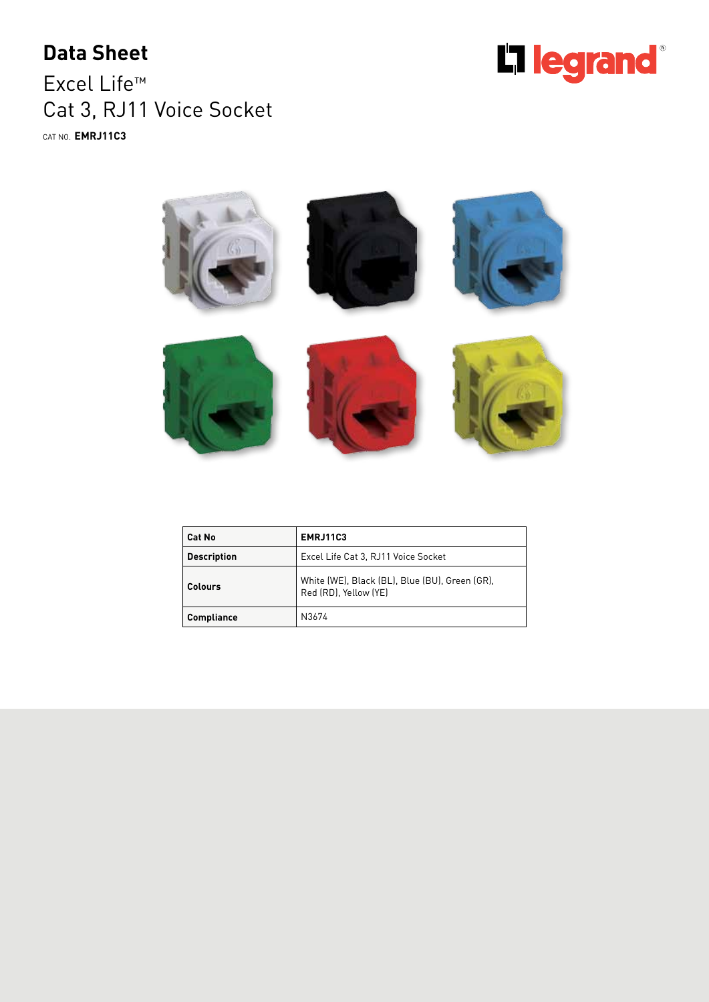## **Data Sheet**

Excel Life™ Cat 3, RJ11 Voice Socket CAT NO. **EMRJ11C3**





| Cat No             | <b>EMRJ11C3</b>                                                         |
|--------------------|-------------------------------------------------------------------------|
| <b>Description</b> | Excel Life Cat 3, RJ11 Voice Socket                                     |
| Colours            | White (WE), Black (BL), Blue (BU), Green (GR),<br>Red (RD). Yellow (YE) |
| Compliance         | N3674                                                                   |